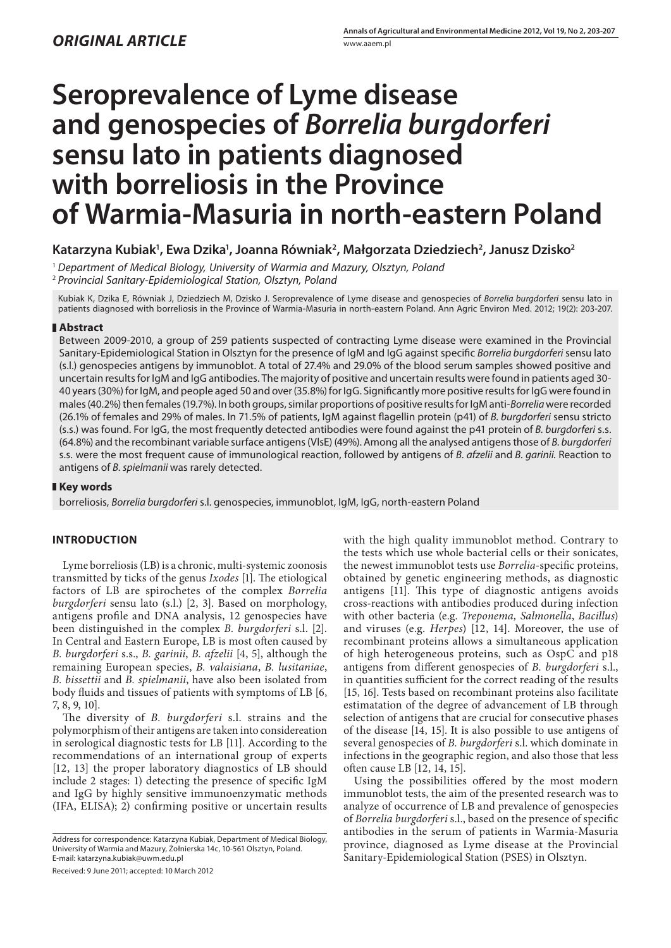# **Seroprevalence of Lyme disease and genospecies of** *Borrelia burgdorferi* **sensu lato in patients diagnosed with borreliosis in the Province of Warmia-Masuria in north-eastern Poland**

## **Katarzyna Kubiak1 , Ewa Dzika1 , Joanna Równiak2 , Małgorzata Dziedziech2 , Janusz Dzisko2**

<sup>1</sup>*Department of Medical Biology, University of Warmia and Mazury, Olsztyn, Poland* <sup>2</sup>*Provincial Sanitary-Epidemiological Station, Olsztyn, Poland*

Kubiak K, Dzika E, Równiak J, Dziedziech M, Dzisko J. Seroprevalence of Lyme disease and genospecies of *Borrelia burgdorferi* sensu lato in patients diagnosed with borreliosis in the Province of Warmia-Masuria in north-eastern Poland. Ann Agric Environ Med. 2012; 19(2): 203-207.

### **Abstract**

Between 2009-2010, a group of 259 patients suspected of contracting Lyme disease were examined in the Provincial Sanitary-Epidemiological Station in Olsztyn for the presence of IgM and IgG against specific *Borrelia burgdorferi* sensu lato (s.l.) genospecies antigens by immunoblot. A total of 27.4% and 29.0% of the blood serum samples showed positive and uncertain results for IgM and IgG antibodies. The majority of positive and uncertain results were found in patients aged 30- 40 years (30%) for IgM, and people aged 50 and over (35.8%) for IgG. Significantly more positive results for IgG were found in males (40.2%) then females (19.7%). In both groups, similar proportions of positive results for IgM anti-*Borrelia* were recorded (26.1% of females and 29% of males. In 71.5% of patients, IgM against flagellin protein (p41) of *B. burgdorferi* sensu stricto (s.s.) was found. For IgG, the most frequently detected antibodies were found against the p41 protein of *B. burgdorferi* s.s. (64.8%) and the recombinant variable surface antigens (VlsE) (49%). Among all the analysed antigens those of *B. burgdorferi*  s.s. were the most frequent cause of immunological reaction, followed by antigens of *B. afzelii* and *B. garinii.* Reaction to antigens of *B. spielmanii* was rarely detected.

## **Key words**

borreliosis, *Borrelia burgdorferi* s.l. genospecies, immunoblot, IgM, IgG, north-eastern Poland

## **INTRODUCTION**

Lyme borreliosis (LB) is a chronic, multi-systemic zoonosis transmitted by ticks of the genus *Ixodes* [1]. The etiological factors of LB are spirochetes of the complex *Borrelia burgdorferi* sensu lato (s.l.) [2, 3]. Based on morphology, antigens profile and DNA analysis, 12 genospecies have been distinguished in the complex *B. burgdorferi* s.l. [2]. In Central and Eastern Europe, LB is most often caused by *B. burgdorferi* s.s., *B. garinii*, *B. afzelii* [4, 5], although the remaining European species, *B. valaisiana*, *B. lusitaniae*, *B. bissettii* and *B. spielmanii*, have also been isolated from body fluids and tissues of patients with symptoms of LB [6, 7, 8, 9, 10].

The diversity of *B. burgdorferi* s.l. strains and the polymorphism of their antigens are taken into considereation in serological diagnostic tests for LB [11]. According to the recommendations of an international group of experts [12, 13] the proper laboratory diagnostics of LB should include 2 stages: 1) detecting the presence of specific IgM and IgG by highly sensitive immunoenzymatic methods (IFA, ELISA); 2) confirming positive or uncertain results

Address for correspondence: Katarzyna Kubiak, Department of Medical Biology, University of Warmia and Mazury, Żołnierska 14c, 10-561 Olsztyn, Poland. E-mail: katarzyna.kubiak@uwm.edu.pl

Received: 9 June 2011; accepted: 10 March 2012

with the high quality immunoblot method. Contrary to the tests which use whole bacterial cells or their sonicates, the newest immunoblot tests use *Borrelia*-specific proteins, obtained by genetic engineering methods, as diagnostic antigens [11]. This type of diagnostic antigens avoids cross-reactions with antibodies produced during infection with other bacteria (e.g. *Treponema, Salmonella*, *Bacillus*) and viruses (e.g. *Herpes*) [12, 14]. Moreover, the use of recombinant proteins allows a simultaneous application of high heterogeneous proteins, such as OspC and p18 antigens from different genospecies of *B. burgdorferi* s.l., in quantities sufficient for the correct reading of the results [15, 16]. Tests based on recombinant proteins also facilitate estimatation of the degree of advancement of LB through selection of antigens that are crucial for consecutive phases of the disease [14, 15]. It is also possible to use antigens of several genospecies of *B. burgdorferi* s.l. which dominate in infections in the geographic region, and also those that less often cause LB [12, 14, 15].

Using the possibilities offered by the most modern immunoblot tests, the aim of the presented research was to analyze of occurrence of LB and prevalence of genospecies of *Borrelia burgdorferi* s.l., based on the presence of specific antibodies in the serum of patients in Warmia-Masuria province, diagnosed as Lyme disease at the Provincial Sanitary-Epidemiological Station (PSES) in Olsztyn.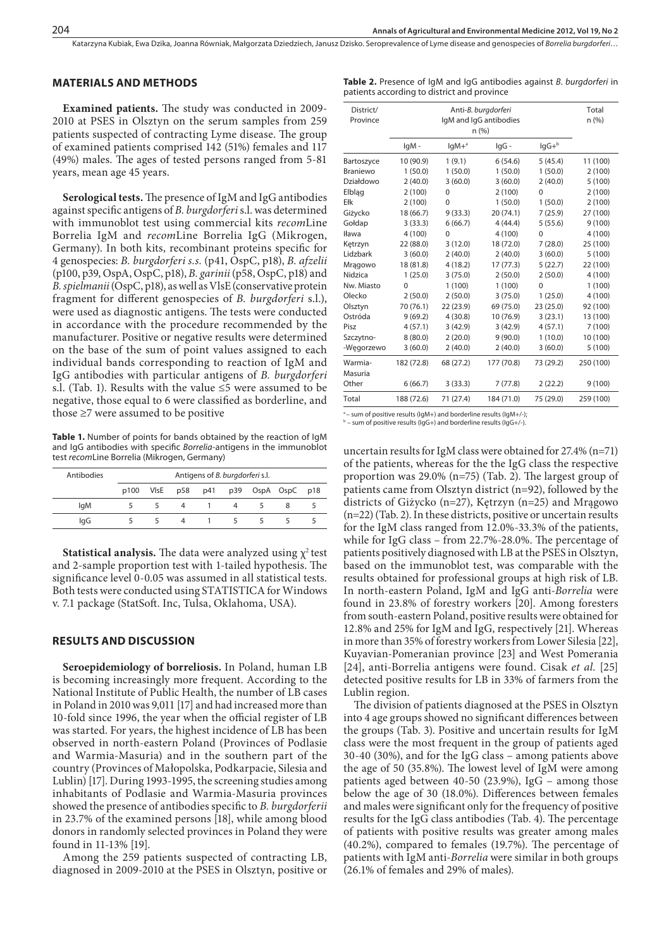Katarzyna Kubiak, Ewa Dzika, Joanna Równiak, Małgorzata Dziedziech, Janusz Dzisko. Seroprevalence of Lyme disease and genospecies of *Borrelia burgdorferi*…

#### **MATERIALS AND METHODS**

**Examined patients.** The study was conducted in 2009- 2010 at PSES in Olsztyn on the serum samples from 259 patients suspected of contracting Lyme disease. The group of examined patients comprised 142 (51%) females and 117 (49%) males. The ages of tested persons ranged from 5-81 years, mean age 45 years.

**Serological tests.** The presence of IgM and IgG antibodies against specific antigens of *B. burgdorferi* s.l. was determined with immunoblot test using commercial kits *recom*Line Borrelia IgM and *recom*Line Borrelia IgG (Mikrogen, Germany). In both kits, recombinant proteins specific for 4 genospecies: *B. burgdorferi s.s.* (p41, OspC, p18), *B. afzelii*  (p100, p39, OspA, OspC, p18), *B. garinii* (p58, OspC, p18) and *B. spielmanii* (OspC, p18), as well as VlsE (conservative protein fragment for different genospecies of *B. burgdorferi* s.l.), were used as diagnostic antigens. The tests were conducted in accordance with the procedure recommended by the manufacturer. Positive or negative results were determined on the base of the sum of point values assigned to each individual bands corresponding to reaction of IgM and IgG antibodies with particular antigens of *B. burgdorferi*  s.l. (Tab. 1). Results with the value  $\leq$ 5 were assumed to be negative, those equal to 6 were classified as borderline, and those ≥7 were assumed to be positive

Table 1. Number of points for bands obtained by the reaction of IgM and IgG antibodies with specific *Borrelia*-antigens in the immunoblot test *recom*Line Borrelia (Mikrogen, Germany)

| Antibodies | Antigens of B. burgdorferi s.l. |  |   |  |  |  |                                     |  |
|------------|---------------------------------|--|---|--|--|--|-------------------------------------|--|
|            |                                 |  |   |  |  |  | p100 VIsE p58 p41 p39 OspA OspC p18 |  |
| lgM        |                                 |  | 4 |  |  |  |                                     |  |
| lgG        |                                 |  | 4 |  |  |  |                                     |  |

**Statistical analysis.** The data were analyzed using  $\chi^2$  test and 2-sample proportion test with 1-tailed hypothesis. The significance level 0-0.05 was assumed in all statistical tests. Both tests were conducted using STATISTICA for Windows v. 7.1 package (StatSoft. Inc, Tulsa, Oklahoma, USA).

#### **RESULTS AND DISCUSSION**

**Seroepidemiology of borreliosis.** In Poland, human LB is becoming increasingly more frequent. According to the National Institute of Public Health, the number of LB cases in Poland in 2010 was 9,011 [17] and had increased more than 10-fold since 1996, the year when the official register of LB was started. For years, the highest incidence of LB has been observed in north-eastern Poland (Provinces of Podlasie and Warmia-Masuria) and in the southern part of the country (Provinces of Małopolska, Podkarpacie, Silesia and Lublin) [17]. During 1993-1995, the screening studies among inhabitants of Podlasie and Warmia-Masuria provinces showed the presence of antibodies specific to *B. burgdorferii* in 23.7% of the examined persons [18], while among blood donors in randomly selected provinces in Poland they were found in 11-13% [19].

Among the 259 patients suspected of contracting LB, diagnosed in 2009-2010 at the PSES in Olsztyn, positive or

|  |                                             |  |  |  | Table 2. Presence of IgM and IgG antibodies against B. burgdorferi in |  |
|--|---------------------------------------------|--|--|--|-----------------------------------------------------------------------|--|
|  | patients according to district and province |  |  |  |                                                                       |  |

| District/<br>Province |            |           | Anti-B. burgdorferi<br>IgM and IgG antibodies<br>n(%) |           |           |  |  |
|-----------------------|------------|-----------|-------------------------------------------------------|-----------|-----------|--|--|
|                       | lgM-       | $IqM+a$   | lgG -                                                 | $lgG + b$ |           |  |  |
| Bartoszyce            | 10 (90.9)  | 1(9.1)    | 6(54.6)                                               | 5(45.4)   | 11 (100)  |  |  |
| Braniewo              | 1(50.0)    | 1(50.0)   | 1(50.0)                                               | 1(50.0)   | 2(100)    |  |  |
| Działdowo             | 2(40.0)    | 3(60.0)   | 3(60.0)                                               | 2(40.0)   | 5(100)    |  |  |
| Elblag                | 2(100)     | $\Omega$  | 2(100)                                                | 0         | 2(100)    |  |  |
| Ełk                   | 2(100)     | $\Omega$  | 1(50.0)                                               | 1(50.0)   | 2(100)    |  |  |
| Giżycko               | 18 (66.7)  | 9(33.3)   | 20 (74.1)                                             | 7(25.9)   | 27 (100)  |  |  |
| Gołdap                | 3(33.3)    | 6(66.7)   | 4(44.4)                                               | 5(55.6)   | 9(100)    |  |  |
| Iława                 | 4(100)     | $\Omega$  | 4(100)                                                | 0         | 4(100)    |  |  |
| Kętrzyn               | 22 (88.0)  | 3(12.0)   | 18 (72.0)                                             | 7(28.0)   | 25 (100)  |  |  |
| Lidzbark              | 3(60.0)    | 2(40.0)   | 2(40.0)                                               | 3(60.0)   | 5(100)    |  |  |
| Mragowo               | 18 (81.8)  | 4(18.2)   | 17(77.3)                                              | 5(22.7)   | 22 (100)  |  |  |
| Nidzica               | 1(25.0)    | 3(75.0)   | 2(50.0)                                               | 2(50.0)   | 4(100)    |  |  |
| Nw. Miasto            | $\Omega$   | 1(100)    | 1(100)                                                | $\Omega$  | 1(100)    |  |  |
| Olecko                | 2(50.0)    | 2(50.0)   | 3(75.0)                                               | 1(25.0)   | 4 (100)   |  |  |
| Olsztyn               | 70 (76.1)  | 22(23.9)  | 69 (75.0)                                             | 23(25.0)  | 92 (100)  |  |  |
| Ostróda               | 9(69.2)    | 4(30.8)   | 10 (76.9)                                             | 3(23.1)   | 13 (100)  |  |  |
| Pisz                  | 4(57.1)    | 3(42.9)   | 3(42.9)                                               | 4(57.1)   | 7(100)    |  |  |
| Szczytno-             | 8(80.0)    | 2(20.0)   | 9(90.0)                                               | 1(10.0)   | 10 (100)  |  |  |
| -Wegorzewo            | 3(60.0)    | 2(40.0)   | 2(40.0)                                               | 3(60.0)   | 5(100)    |  |  |
| Warmia-<br>Masuria    | 182 (72.8) | 68 (27.2) | 177 (70.8)                                            | 73 (29.2) | 250 (100) |  |  |
| Other                 | 6(66.7)    | 3(33.3)   | 7(77.8)                                               | 2(22.2)   | 9(100)    |  |  |
| Total                 | 188 (72.6) | 71 (27.4) | 184 (71.0)                                            | 75 (29.0) | 259 (100) |  |  |

- sum of positive results (IgM+) and borderline results (IgM+/-);

 $b -$  sum of positive results (IgG+) and borderline results (IgG+/-).

uncertain results for IgM class were obtained for 27.4% (n=71) of the patients, whereas for the the IgG class the respective proportion was 29.0% (n=75) (Tab. 2). The largest group of patients came from Olsztyn district (n=92), followed by the districts of Giżycko (n=27), Kętrzyn (n=25) and Mrągowo (n=22) (Tab. 2). In these districts, positive or uncertain results for the IgM class ranged from 12.0%-33.3% of the patients, while for IgG class – from 22.7%-28.0%. The percentage of patients positively diagnosed with LB at the PSES in Olsztyn, based on the immunoblot test, was comparable with the results obtained for professional groups at high risk of LB. In north-eastern Poland, IgM and IgG anti-*Borrelia* were found in 23.8% of forestry workers [20]. Among foresters from south-eastern Poland, positive results were obtained for 12.8% and 25% for IgM and IgG, respectively [21]. Whereas in more than 35% of forestry workers from Lower Silesia [22], Kuyavian-Pomeranian province [23] and West Pomerania [24], anti-Borrelia antigens were found. Cisak *et al.* [25] detected positive results for LB in 33% of farmers from the Lublin region.

The division of patients diagnosed at the PSES in Olsztyn into 4 age groups showed no significant differences between the groups (Tab. 3). Positive and uncertain results for IgM class were the most frequent in the group of patients aged 30-40 (30%), and for the IgG class – among patients above the age of 50 (35.8%). The lowest level of IgM were among patients aged between 40-50 (23.9%), IgG – among those below the age of 30 (18.0%). Differences between females and males were significant only for the frequency of positive results for the IgG class antibodies (Tab. 4). The percentage of patients with positive results was greater among males (40.2%), compared to females (19.7%). The percentage of patients with IgM anti-*Borrelia* were similar in both groups (26.1% of females and 29% of males).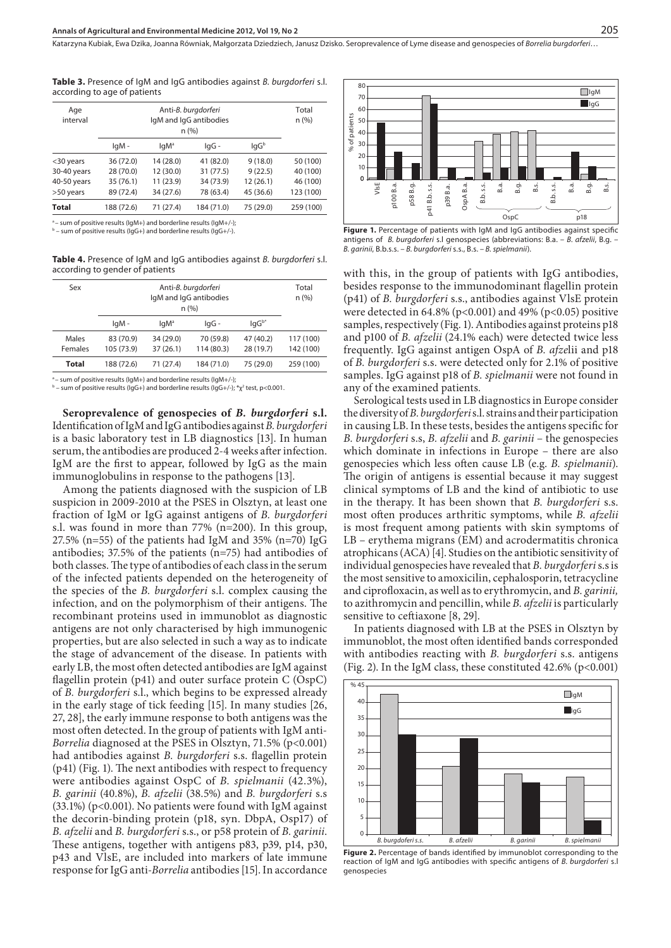Katarzyna Kubiak, Ewa Dzika, Joanna Równiak, Małgorzata Dziedziech, Janusz Dzisko. Seroprevalence of Lyme disease and genospecies of *Borrelia burgdorferi*…

**Table 3.** Presence of IgM and IgG antibodies against *B. burgdorferi* s.l. according to age of patients

| Age<br>interval |            | Total<br>n (%)   |            |           |           |
|-----------------|------------|------------------|------------|-----------|-----------|
|                 | lgM-       | lgM <sup>a</sup> | lgG -      | lgGb      |           |
| <30 years       | 36 (72.0)  | 14 (28.0)        | 41 (82.0)  | 9(18.0)   | 50 (100)  |
| 30-40 years     | 28 (70.0)  | 12 (30.0)        | 31 (77.5)  | 9(22.5)   | 40 (100)  |
| 40-50 years     | 35 (76.1)  | 11 (23.9)        | 34 (73.9)  | 12 (26.1) | 46 (100)  |
| >50 years       | 89 (72.4)  | 34 (27.6)        | 78 (63.4)  | 45 (36.6) | 123 (100) |
| <b>Total</b>    | 188 (72.6) | 71 (27.4)        | 184 (71.0) | 75 (29.0) | 259 (100) |

<sup>a</sup> – sum of positive results (IgM+) and borderline results (IgM+/-);<br><sup>b</sup> – sum of positive results (IgG+) and borderline results (IgG+/-).

**Table 4.** Presence of IgM and IgG antibodies against *B. burgdorferi* s.l. according to gender of patients

| Sex     |            | Total<br>n (%)   |            |            |           |
|---------|------------|------------------|------------|------------|-----------|
|         | lgM-       | IqM <sup>a</sup> | lgG-       | $IqG^{b*}$ |           |
| Males   | 83 (70.9)  | 34 (29.0)        | 70 (59.8)  | 47 (40.2)  | 117 (100) |
| Females | 105 (73.9) | 37(26.1)         | 114 (80.3) | 28 (19.7)  | 142 (100) |
| Total   | 188 (72.6) | 71 (27.4)        | 184 (71.0) | 75 (29.0)  | 259 (100) |
|         |            |                  |            |            |           |

- sum of positive results (IqM+) and borderline results (IqM+/-);  $^{\rm b}$  – sum of positive results (lgG+) and borderline results (lgG+/-); \* $\chi^{\rm z}$  test, p<0.001.

**Seroprevalence of genospecies of** *B. burgdorferi* **s.l.**  Identification of IgM and IgG antibodies against *B. burgdorferi* is a basic laboratory test in LB diagnostics [13]. In human serum, the antibodies are produced 2-4 weeks after infection. IgM are the first to appear, followed by IgG as the main immunoglobulins in response to the pathogens [13].

Among the patients diagnosed with the suspicion of LB suspicion in 2009-2010 at the PSES in Olsztyn, at least one fraction of IgM or IgG against antigens of *B. burgdorferi* s.l. was found in more than 77% (n=200). In this group, 27.5% (n=55) of the patients had IgM and 35% (n=70) IgG antibodies; 37.5% of the patients (n=75) had antibodies of both classes. The type of antibodies of each class in the serum of the infected patients depended on the heterogeneity of the species of the *B. burgdorferi* s.l. complex causing the infection, and on the polymorphism of their antigens. The recombinant proteins used in immunoblot as diagnostic antigens are not only characterised by high immunogenic properties, but are also selected in such a way as to indicate the stage of advancement of the disease. In patients with early LB, the most often detected antibodies are IgM against flagellin protein (p41) and outer surface protein C (OspC) of *B. burgdorferi* s.l., which begins to be expressed already in the early stage of tick feeding [15]. In many studies [26, 27, 28], the early immune response to both antigens was the most often detected. In the group of patients with IgM anti-*Borrelia* diagnosed at the PSES in Olsztyn, 71.5% (p<0.001) had antibodies against *B. burgdorferi* s.s. flagellin protein (p41) (Fig. 1). The next antibodies with respect to frequency were antibodies against OspC of *B. spielmanii* (42.3%), *B. garinii* (40.8%), *B. afzelii* (38.5%) and *B. burgdorferi* s.s  $(33.1\%)$  (p<0.001). No patients were found with IgM against the decorin-binding protein (p18, syn. DbpA, Osp17) of *B. afzelii* and *B. burgdorferi* s.s., or p58 protein of *B. garinii*. These antigens, together with antigens p83, p39, p14, p30, p43 and VlsE, are included into markers of late immune response for IgG anti-*Borrelia* antibodies [15]. In accordance



Figure 1. Percentage of patients with IgM and IgG antibodies against specific antigens of *B. burgdorferi* s.l genospecies (abbreviations: B.a. – *B. afzelii*, B.g. – *B. garinii*, B.b.s.s. – *B. burgdorferi* s.s., B.s. *– B. spielmanii*).

with this, in the group of patients with IgG antibodies, besides response to the immunodominant flagellin protein (p41) of *B. burgdorferi* s.s., antibodies against VlsE protein were detected in  $64.8\%$  (p<0.001) and  $49\%$  (p<0.05) positive samples, respectively (Fig. 1). Antibodies against proteins p18 and p100 of *B. afzelii* (24.1% each) were detected twice less frequently. IgG against antigen OspA of *B. afze*lii and p18 of *B. burgdorferi* s.s. were detected only for 2.1% of positive samples. IgG against p18 of *B. spielmanii* were not found in any of the examined patients*.* 

Serological tests used in LB diagnostics in Europe consider the diversity of *B. burgdorferi* s.l. strains and their participation in causing LB. In these tests, besides the antigens specific for *B. burgdorferi* s.s, *B. afzelii* and *B. garinii* – the genospecies which dominate in infections in Europe – there are also genospecies which less often cause LB (e.g. *B. spielmanii*). The origin of antigens is essential because it may suggest clinical symptoms of LB and the kind of antibiotic to use in the therapy. It has been shown that *B. burgdorferi* s.s. most often produces arthritic symptoms, while *B. afzelii* is most frequent among patients with skin symptoms of LB – erythema migrans (EM) and acrodermatitis chronica atrophicans (ACA) [4]. Studies on the antibiotic sensitivity of individual genospecies have revealed that *B. burgdorferi* s.s is the most sensitive to amoxicilin, cephalosporin, tetracycline and ciprofloxacin, as well as to erythromycin, and *B. garinii,* to azithromycin and pencillin, while *B. afzelii* is particularly sensitive to ceftiaxone [8, 29].

In patients diagnosed with LB at the PSES in Olsztyn by immunoblot, the most often identified bands corresponded with antibodies reacting with *B. burgdorferi* s.s. antigens (Fig. 2). In the IgM class, these constituted 42.6% (p<0.001)



Figure 2. Percentage of bands identified by immunoblot corresponding to the reaction of IgM and IgG antibodies with specific antigens of *B. burgdorferi* s.l genospecies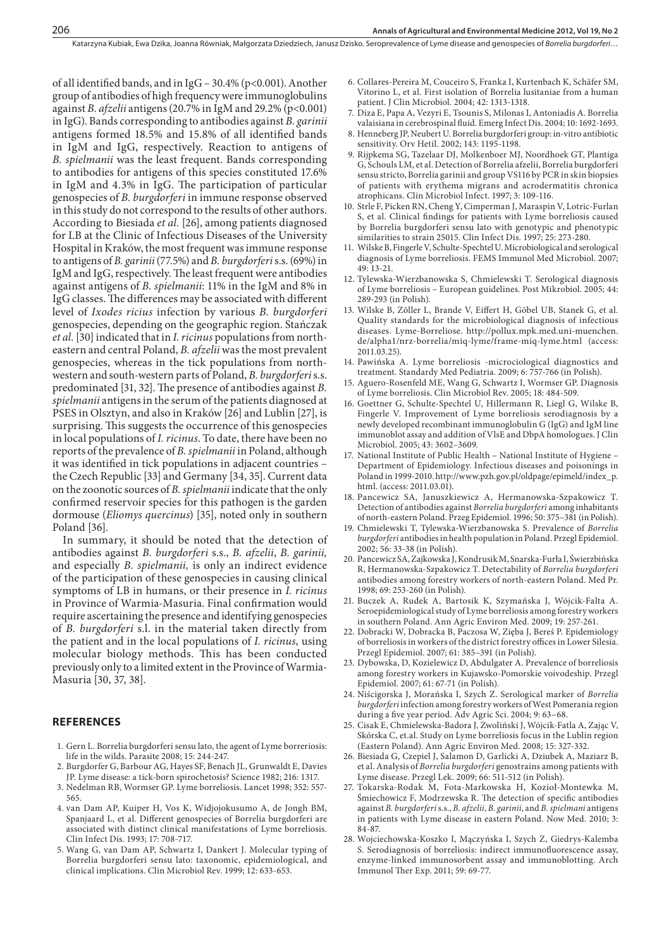of all identified bands, and in IgG – 30.4% (p<0.001). Another group of antibodies of high frequency were immunoglobulins against *B. afzelii* antigens(20.7% in IgM and 29.2% (p<0.001) in IgG). Bands corresponding to antibodies against *B. garinii* antigens formed 18.5% and 15.8% of all identified bands in IgM and IgG, respectively. Reaction to antigens of *B. spielmanii* was the least frequent. Bands corresponding to antibodies for antigens of this species constituted 17.6% in IgM and 4.3% in IgG. The participation of particular genospecies of *B. burgdorferi* in immune response observed in this study do not correspond to the results of other authors. According to Biesiada *et al.* [26], among patients diagnosed for LB at the Clinic of Infectious Diseases of the University Hospital in Kraków, the most frequent was immune response to antigens of *B. garinii* (77.5%) and *B. burgdorferi* s.s. (69%) in IgM and IgG, respectively. The least frequent were antibodies against antigens of *B. spielmanii*: 11% in the IgM and 8% in IgG classes. The differences may be associated with different level of *Ixodes ricius* infection by various *B. burgdorferi* genospecies, depending on the geographic region. Stańczak *et al.* [30] indicated that in *I. ricinus* populations from northeastern and central Poland, *B. afzelii* was the most prevalent genospecies, whereas in the tick populations from northwestern and south-western parts of Poland, *B. burgdorferi* s.s. predominated [31, 32]. The presence of antibodies against *B. spielmanii* antigens in the serum of the patients diagnosed at PSES in Olsztyn, and also in Kraków [26] and Lublin [27], is surprising. This suggests the occurrence of this genospecies in local populations of *I. ricinus*. To date, there have been no reports of the prevalence of *B. spielmanii* in Poland, although it was identified in tick populations in adjacent countries – the Czech Republic [33] and Germany [34, 35]. Current data on the zoonotic sources of *B. spielmanii* indicate that the only confirmed reservoir species for this pathogen is the garden dormouse (*Eliomys quercinus*) [35], noted only in southern Poland [36].

In summary, it should be noted that the detection of antibodies against *B. burgdorferi* s.s., *B. afzelii*, *B. garinii,* and especially *B. spielmanii,* is only an indirect evidence of the participation of these genospecies in causing clinical symptoms of LB in humans, or their presence in *I. ricinus* in Province of Warmia-Masuria. Final confirmation would require ascertaining the presence and identifying genospecies of *B. burgdorferi* s.l. in the material taken directly from the patient and in the local populations of *I. ricinus*, using molecular biology methods. This has been conducted previously only to a limited extent in the Province of Warmia-Masuria [30, 37, 38].

#### **References**

- 1. Gern L. Borrelia burgdorferi sensu lato, the agent of Lyme borreriosis: life in the wilds. Parasite 2008; 15: 244-247.
- 2. Burgdorfer G, Barbour AG, Hayes SF, Benach JL, Grunwaldt E, Davies JP. Lyme disease: a tick-born spirochetosis? Science 1982; 216: 1317.
- 3. Nedelman RB, Wormser GP. Lyme borreliosis. Lancet 1998; 352: 557- 565.
- 4. van Dam AP, Kuiper H, Vos K, Widjojokusumo A, de Jongh BM, Spanjaard L, et al. Different genospecies of Borrelia burgdorferi are associated with distinct clinical manifestations of Lyme borreliosis. Clin Infect Dis. 1993; 17: 708-717.
- 5. Wang G, van Dam AP, Schwartz I, Dankert J. Molecular typing of Borrelia burgdorferi sensu lato: taxonomic, epidemiological, and clinical implications. Clin Microbiol Rev. 1999; 12: 633-653.
- 6. Collares-Pereira M, Couceiro S, Franka I, Kurtenbach K, Schäfer SM, Vitorino L, et al. First isolation of Borrelia lusitaniae from a human patient. J Clin Microbiol. 2004; 42: 1313-1318.
- 7. Diza E, Papa A, Vezyri E, Tsounis S, Milonas I, Antoniadis A. Borrelia valaisiana in cerebrospinal fluid. Emerg Infect Dis. 2004; 10: 1692-1693.
- 8. Henneberg JP, Neubert U. Borrelia burgdorferi group: in-vitro antibiotic sensitivity. Orv Hetil. 2002; 143: 1195-1198. 9. Rijpkema SG, Tazelaar DJ, Molkenboer MJ, Noordhoek GT, Plantiga
- G, Schouls LM, et al. Detection of Borrelia afzelii, Borrelia burgdorferi sensu stricto, Borrelia garinii and group VS116 by PCR in skin biopsies of patients with erythema migrans and acrodermatitis chronica atrophicans. Clin Microbiol Infect. 1997; 3: 109-116.
- 10. Strle F, Picken RN, Cheng Y, Cimperman J, Maraspin V, Lotric-Furlan S, et al. Clinical findings for patients with Lyme borreliosis caused by Borrelia burgdorferi sensu lato with genotypic and phenotypic similarities to strain 25015. Clin Infect Dis. 1997; 25: 273-280.
- 11. Wilske B, Fingerle V, Schulte-Spechtel U. Microbiological and serological diagnosis of Lyme borreliosis. FEMS Immunol Med Microbiol. 2007; 49: 13-21.
- 12. Tylewska-Wierzbanowska S, Chmielewski T. Serological diagnosis of Lyme borreliosis – European guidelines. Post Mikrobiol. 2005; 44: 289-293 (in Polish).
- 13. Wilske B, Zöller L, Brande V, Eiffert H, Göbel UB, Stanek G, et al. Quality standards for the microbiological diagnosis of infectious diseases. Lyme-Borreliose. http://pollux.mpk.med.uni-muenchen. de/alpha1/nrz-borrelia/miq-lyme/frame-miq-lyme.html (access: 2011.03.25).
- 14. Pawińska A. Lyme borreliosis -microciological diagnostics and treatment. Standardy Med Pediatria. 2009; 6: 757-766 (in Polish).
- 15. Aguero-Rosenfeld ME, Wang G, Schwartz I, Wormser GP. Diagnosis of Lyme borreliosis. Clin Microbiol Rev. 2005; 18: 484-509.
- 16. Goettner G, Schulte-Spechtel U, Hillermann R, Liegl G, Wilske B, Fingerle V. Improvement of Lyme borreliosis serodiagnosis by a newly developed recombinant immunoglobulin G (IgG) and IgM line immunoblot assay and addition of VlsE and DbpA homologues. J Clin Microbiol. 2005; 43: 3602–3609.
- 17. National Institute of Public Health National Institute of Hygiene Department of Epidemiology. Infectious diseases and poisonings in Poland in 1999-2010. http://www.pzh.gov.pl/oldpage/epimeld/index\_p. html. (access: 2011.03.01).
- 18. Pancewicz SA, Januszkiewicz A, Hermanowska-Szpakowicz T. Detection of antibodies against *Borrelia burgdorferi* among inhabitants of north-eastern Poland. Przeg Epidemiol. 1996; 50: 375–381 (in Polish).
- 19. Chmielewski T, Tylewska-Wierzbanowska S. Prevalence of *Borrelia burgdorferi* antibodies in health population in Poland. Przegl Epidemiol. 2002; 56: 33-38 (in Polish).
- 20. Pancewicz SA, Zajkowska J, Kondrusik M, Snarska-Furła I, Świerzbińska R, Hermanowska-Szpakowicz T. Detectability of *Borrelia burgdorferi* antibodies among forestry workers of north-eastern Poland. Med Pr. 1998; 69: 253-260 (in Polish).
- 21. Buczek A, Rudek A, Bartosik K, Szymańska J, Wójcik-Falta A. Seroepidemiological study of Lyme borreliosis among forestry workers in southern Poland. Ann Agric Environ Med. 2009; 19: 257-261.
- 22. Dobracki W, Dobracka B, Paczosa W, Zięba J, Bereś P. Epidemiology of borreliosis in workers of the district forestry offices in Lower Silesia. Przegl Epidemiol. 2007; 61: 385–391 (in Polish).
- 23. Dybowska, D, Kozielewicz D, Abdulgater A. Prevalence of borreliosis among forestry workers in Kujawsko-Pomorskie voivodeship. Przegl Epidemiol. 2007; 61: 67-71 (in Polish).
- 24. Niścigorska J, Morańska I, Szych Z. Serological marker of *Borrelia burgdorferi* infection among forestry workers of West Pomerania region during a five year period. Adv Agric Sci. 2004; 9: 63–68.
- 25. Cisak E, Chmielewska-Badora J, Zwoliński J, Wójcik-Fatla A, Zając V, Skórska C, et.al. Study on Lyme borreliosis focus in the Lublin region (Eastern Poland). Ann Agric Environ Med. 2008; 15: 327-332.
- 26. Biesiada G, Czepiel J, Salamon D, Garlicki A, Dziubek A, Maziarz B, et al. Analysis of *Borrelia burgdorferi* genostrains among patients with Lyme disease. Przegl Lek. 2009; 66: 511-512 (in Polish).
- 27. Tokarska-Rodak M, Fota-Markowska H, Kozioł-Montewka M, Śmiechowicz F, Modrzewska R. The detection of specific antibodies against *B. burgdorferi* s.s., *B. afzelii*, *B. garinii*, and *B. spielmani* antigens in patients with Lyme disease in eastern Poland. Now Med. 2010; 3: 84-87.
- 28. Wojciechowska-Koszko I, Mączyńska I, Szych Z, Giedrys-Kalemba S. Serodiagnosis of borreliosis: indirect immunofluorescence assay, enzyme-linked immunosorbent assay and immunoblotting. Arch Immunol Ther Exp. 2011; 59: 69-77.